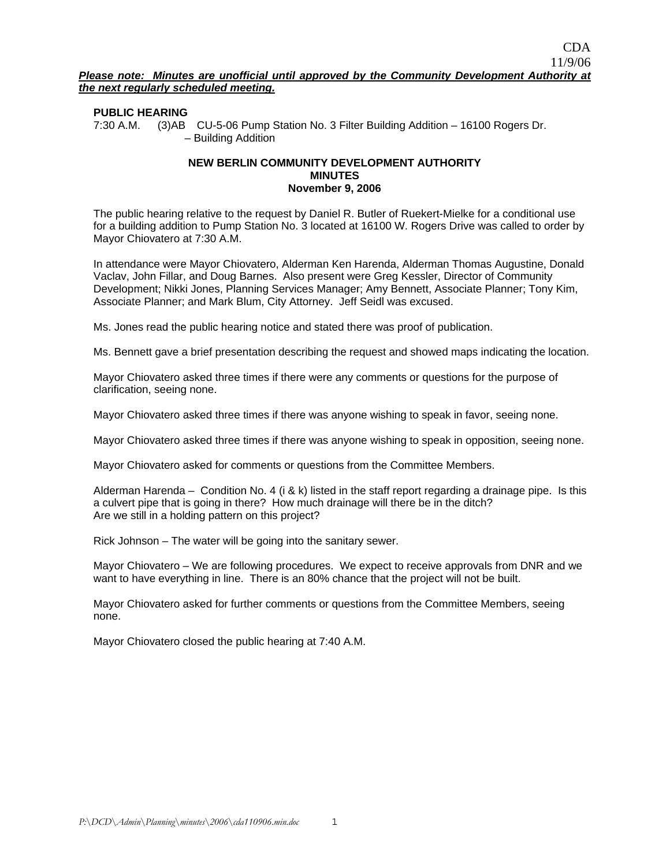# **PUBLIC HEARING**

7:30 A.M. (3)AB CU-5-06 Pump Station No. 3 Filter Building Addition – 16100 Rogers Dr. – Building Addition

#### **NEW BERLIN COMMUNITY DEVELOPMENT AUTHORITY MINUTES November 9, 2006**

The public hearing relative to the request by Daniel R. Butler of Ruekert-Mielke for a conditional use for a building addition to Pump Station No. 3 located at 16100 W. Rogers Drive was called to order by Mayor Chiovatero at 7:30 A.M.

In attendance were Mayor Chiovatero, Alderman Ken Harenda, Alderman Thomas Augustine, Donald Vaclav, John Fillar, and Doug Barnes. Also present were Greg Kessler, Director of Community Development; Nikki Jones, Planning Services Manager; Amy Bennett, Associate Planner; Tony Kim, Associate Planner; and Mark Blum, City Attorney. Jeff Seidl was excused.

Ms. Jones read the public hearing notice and stated there was proof of publication.

Ms. Bennett gave a brief presentation describing the request and showed maps indicating the location.

Mayor Chiovatero asked three times if there were any comments or questions for the purpose of clarification, seeing none.

Mayor Chiovatero asked three times if there was anyone wishing to speak in favor, seeing none.

Mayor Chiovatero asked three times if there was anyone wishing to speak in opposition, seeing none.

Mayor Chiovatero asked for comments or questions from the Committee Members.

Alderman Harenda – Condition No. 4 (i & k) listed in the staff report regarding a drainage pipe. Is this a culvert pipe that is going in there? How much drainage will there be in the ditch? Are we still in a holding pattern on this project?

Rick Johnson – The water will be going into the sanitary sewer.

Mayor Chiovatero – We are following procedures. We expect to receive approvals from DNR and we want to have everything in line. There is an 80% chance that the project will not be built.

Mayor Chiovatero asked for further comments or questions from the Committee Members, seeing none.

Mayor Chiovatero closed the public hearing at 7:40 A.M.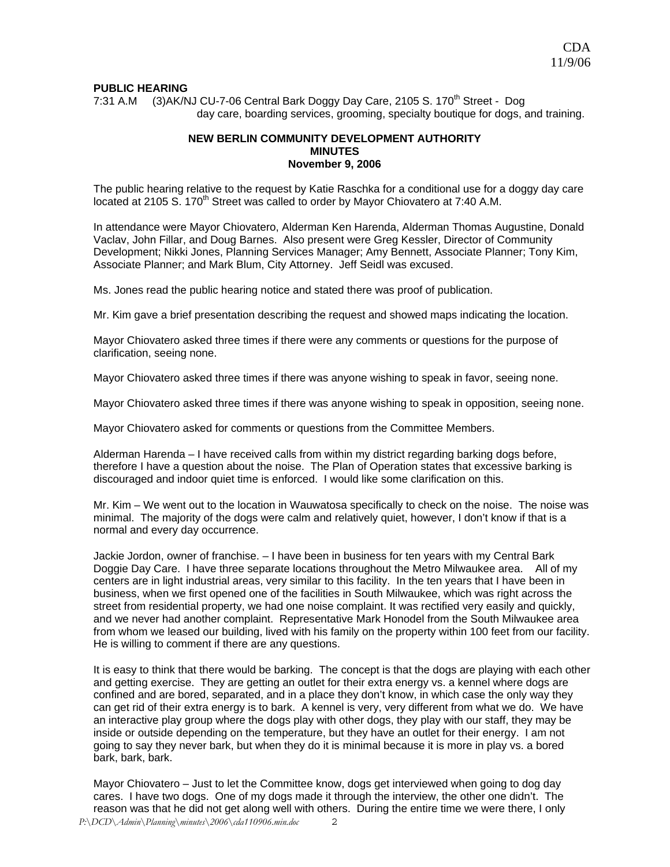#### **PUBLIC HEARING**

7:31 A.M (3)AK/NJ CU-7-06 Central Bark Doggy Day Care, 2105 S. 170<sup>th</sup> Street - Dog day care, boarding services, grooming, specialty boutique for dogs, and training.

# **NEW BERLIN COMMUNITY DEVELOPMENT AUTHORITY MINUTES November 9, 2006**

The public hearing relative to the request by Katie Raschka for a conditional use for a doggy day care located at 2105 S. 170<sup>th</sup> Street was called to order by Mayor Chiovatero at 7:40 A.M.

In attendance were Mayor Chiovatero, Alderman Ken Harenda, Alderman Thomas Augustine, Donald Vaclav, John Fillar, and Doug Barnes. Also present were Greg Kessler, Director of Community Development; Nikki Jones, Planning Services Manager; Amy Bennett, Associate Planner; Tony Kim, Associate Planner; and Mark Blum, City Attorney. Jeff Seidl was excused.

Ms. Jones read the public hearing notice and stated there was proof of publication.

Mr. Kim gave a brief presentation describing the request and showed maps indicating the location.

Mayor Chiovatero asked three times if there were any comments or questions for the purpose of clarification, seeing none.

Mayor Chiovatero asked three times if there was anyone wishing to speak in favor, seeing none.

Mayor Chiovatero asked three times if there was anyone wishing to speak in opposition, seeing none.

Mayor Chiovatero asked for comments or questions from the Committee Members.

Alderman Harenda – I have received calls from within my district regarding barking dogs before, therefore I have a question about the noise. The Plan of Operation states that excessive barking is discouraged and indoor quiet time is enforced. I would like some clarification on this.

Mr. Kim – We went out to the location in Wauwatosa specifically to check on the noise. The noise was minimal. The majority of the dogs were calm and relatively quiet, however, I don't know if that is a normal and every day occurrence.

Jackie Jordon, owner of franchise. – I have been in business for ten years with my Central Bark Doggie Day Care. I have three separate locations throughout the Metro Milwaukee area. All of my centers are in light industrial areas, very similar to this facility. In the ten years that I have been in business, when we first opened one of the facilities in South Milwaukee, which was right across the street from residential property, we had one noise complaint. It was rectified very easily and quickly, and we never had another complaint. Representative Mark Honodel from the South Milwaukee area from whom we leased our building, lived with his family on the property within 100 feet from our facility. He is willing to comment if there are any questions.

It is easy to think that there would be barking. The concept is that the dogs are playing with each other and getting exercise. They are getting an outlet for their extra energy vs. a kennel where dogs are confined and are bored, separated, and in a place they don't know, in which case the only way they can get rid of their extra energy is to bark. A kennel is very, very different from what we do. We have an interactive play group where the dogs play with other dogs, they play with our staff, they may be inside or outside depending on the temperature, but they have an outlet for their energy. I am not going to say they never bark, but when they do it is minimal because it is more in play vs. a bored bark, bark, bark.

Mayor Chiovatero – Just to let the Committee know, dogs get interviewed when going to dog day cares. I have two dogs. One of my dogs made it through the interview, the other one didn't. The reason was that he did not get along well with others. During the entire time we were there, I only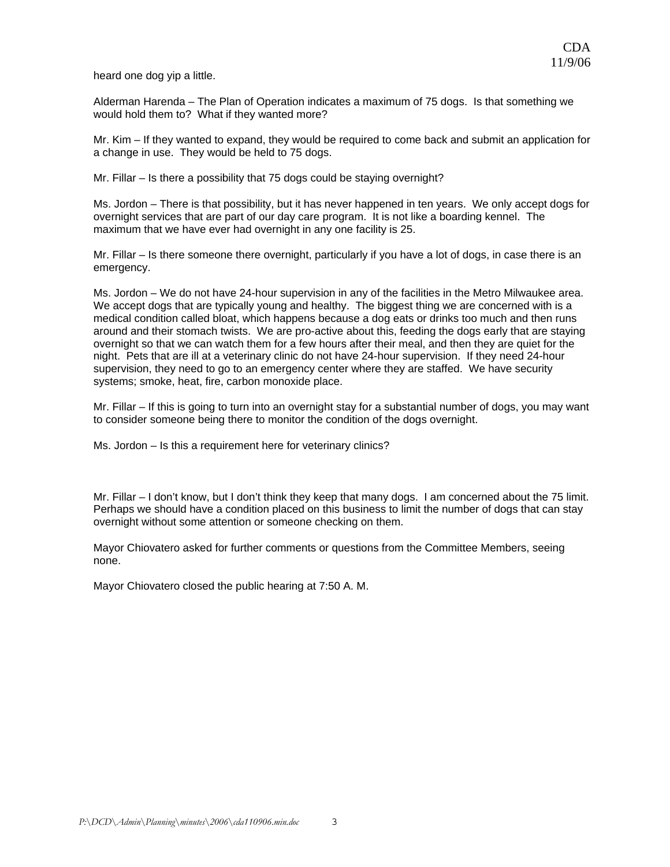heard one dog yip a little.

Alderman Harenda – The Plan of Operation indicates a maximum of 75 dogs. Is that something we would hold them to? What if they wanted more?

Mr. Kim – If they wanted to expand, they would be required to come back and submit an application for a change in use. They would be held to 75 dogs.

Mr. Fillar – Is there a possibility that 75 dogs could be staying overnight?

Ms. Jordon – There is that possibility, but it has never happened in ten years. We only accept dogs for overnight services that are part of our day care program. It is not like a boarding kennel. The maximum that we have ever had overnight in any one facility is 25.

Mr. Fillar – Is there someone there overnight, particularly if you have a lot of dogs, in case there is an emergency.

Ms. Jordon – We do not have 24-hour supervision in any of the facilities in the Metro Milwaukee area. We accept dogs that are typically young and healthy. The biggest thing we are concerned with is a medical condition called bloat, which happens because a dog eats or drinks too much and then runs around and their stomach twists. We are pro-active about this, feeding the dogs early that are staying overnight so that we can watch them for a few hours after their meal, and then they are quiet for the night. Pets that are ill at a veterinary clinic do not have 24-hour supervision. If they need 24-hour supervision, they need to go to an emergency center where they are staffed. We have security systems; smoke, heat, fire, carbon monoxide place.

Mr. Fillar – If this is going to turn into an overnight stay for a substantial number of dogs, you may want to consider someone being there to monitor the condition of the dogs overnight.

Ms. Jordon – Is this a requirement here for veterinary clinics?

Mr. Fillar – I don't know, but I don't think they keep that many dogs. I am concerned about the 75 limit. Perhaps we should have a condition placed on this business to limit the number of dogs that can stay overnight without some attention or someone checking on them.

Mayor Chiovatero asked for further comments or questions from the Committee Members, seeing none.

Mayor Chiovatero closed the public hearing at 7:50 A. M.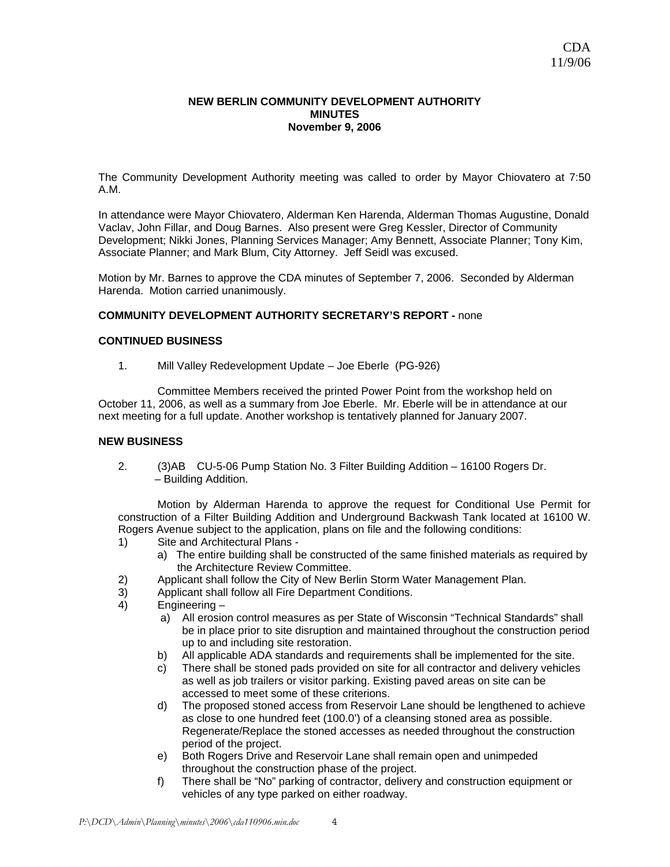#### **NEW BERLIN COMMUNITY DEVELOPMENT AUTHORITY MINUTES November 9, 2006**

The Community Development Authority meeting was called to order by Mayor Chiovatero at 7:50 A.M.

In attendance were Mayor Chiovatero, Alderman Ken Harenda, Alderman Thomas Augustine, Donald Vaclav, John Fillar, and Doug Barnes. Also present were Greg Kessler, Director of Community Development; Nikki Jones, Planning Services Manager; Amy Bennett, Associate Planner; Tony Kim, Associate Planner; and Mark Blum, City Attorney. Jeff Seidl was excused.

Motion by Mr. Barnes to approve the CDA minutes of September 7, 2006. Seconded by Alderman Harenda. Motion carried unanimously.

# **COMMUNITY DEVELOPMENT AUTHORITY SECRETARY'S REPORT -** none

#### **CONTINUED BUSINESS**

1. Mill Valley Redevelopment Update – Joe Eberle (PG-926)

 Committee Members received the printed Power Point from the workshop held on October 11, 2006, as well as a summary from Joe Eberle. Mr. Eberle will be in attendance at our next meeting for a full update. Another workshop is tentatively planned for January 2007.

#### **NEW BUSINESS**

 2. (3)AB CU-5-06 Pump Station No. 3 Filter Building Addition – 16100 Rogers Dr. – Building Addition.

 Motion by Alderman Harenda to approve the request for Conditional Use Permit for construction of a Filter Building Addition and Underground Backwash Tank located at 16100 W. Rogers Avenue subject to the application, plans on file and the following conditions:

- 1) Site and Architectural Plans
	- a) The entire building shall be constructed of the same finished materials as required by the Architecture Review Committee.
- 2) Applicant shall follow the City of New Berlin Storm Water Management Plan.
- 3) Applicant shall follow all Fire Department Conditions.
- 4) Engineering
	- a) All erosion control measures as per State of Wisconsin "Technical Standards" shall be in place prior to site disruption and maintained throughout the construction period up to and including site restoration.
	- b) All applicable ADA standards and requirements shall be implemented for the site.
	- c) There shall be stoned pads provided on site for all contractor and delivery vehicles as well as job trailers or visitor parking. Existing paved areas on site can be accessed to meet some of these criterions.
	- d) The proposed stoned access from Reservoir Lane should be lengthened to achieve as close to one hundred feet (100.0') of a cleansing stoned area as possible. Regenerate/Replace the stoned accesses as needed throughout the construction period of the project.
	- e) Both Rogers Drive and Reservoir Lane shall remain open and unimpeded throughout the construction phase of the project.
	- f) There shall be "No" parking of contractor, delivery and construction equipment or vehicles of any type parked on either roadway.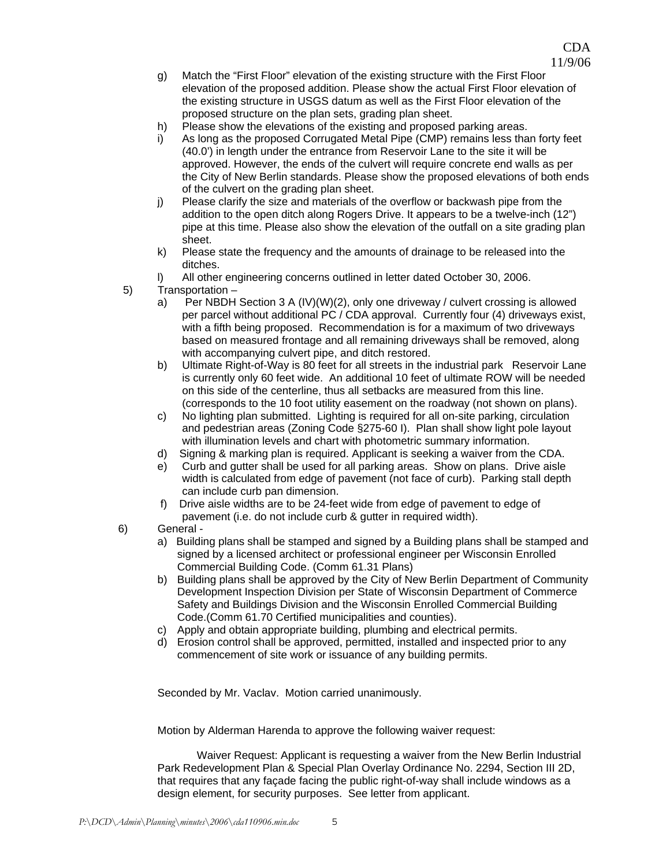- g) Match the "First Floor" elevation of the existing structure with the First Floor elevation of the proposed addition. Please show the actual First Floor elevation of the existing structure in USGS datum as well as the First Floor elevation of the proposed structure on the plan sets, grading plan sheet.
- h) Please show the elevations of the existing and proposed parking areas.
- i) As long as the proposed Corrugated Metal Pipe (CMP) remains less than forty feet (40.0') in length under the entrance from Reservoir Lane to the site it will be approved. However, the ends of the culvert will require concrete end walls as per the City of New Berlin standards. Please show the proposed elevations of both ends of the culvert on the grading plan sheet.
- j) Please clarify the size and materials of the overflow or backwash pipe from the addition to the open ditch along Rogers Drive. It appears to be a twelve-inch (12") pipe at this time. Please also show the elevation of the outfall on a site grading plan sheet.
- k) Please state the frequency and the amounts of drainage to be released into the ditches.
- l) All other engineering concerns outlined in letter dated October 30, 2006.
- 5) Transportation
	- a) Per NBDH Section 3 A (IV)(W)(2), only one driveway / culvert crossing is allowed per parcel without additional PC / CDA approval. Currently four (4) driveways exist, with a fifth being proposed. Recommendation is for a maximum of two driveways based on measured frontage and all remaining driveways shall be removed, along with accompanying culvert pipe, and ditch restored.
	- b) Ultimate Right-of-Way is 80 feet for all streets in the industrial park Reservoir Lane is currently only 60 feet wide. An additional 10 feet of ultimate ROW will be needed on this side of the centerline, thus all setbacks are measured from this line. (corresponds to the 10 foot utility easement on the roadway (not shown on plans).
	- c) No lighting plan submitted. Lighting is required for all on-site parking, circulation and pedestrian areas (Zoning Code §275-60 I). Plan shall show light pole layout with illumination levels and chart with photometric summary information.
	- d) Signing & marking plan is required. Applicant is seeking a waiver from the CDA.
	- e) Curb and gutter shall be used for all parking areas. Show on plans. Drive aisle width is calculated from edge of pavement (not face of curb). Parking stall depth can include curb pan dimension.
	- f) Drive aisle widths are to be 24-feet wide from edge of pavement to edge of pavement (i.e. do not include curb & gutter in required width).

# 6) General -

- a) Building plans shall be stamped and signed by a Building plans shall be stamped and signed by a licensed architect or professional engineer per Wisconsin Enrolled Commercial Building Code. (Comm 61.31 Plans)
- b) Building plans shall be approved by the City of New Berlin Department of Community Development Inspection Division per State of Wisconsin Department of Commerce Safety and Buildings Division and the Wisconsin Enrolled Commercial Building Code.(Comm 61.70 Certified municipalities and counties).
- c) Apply and obtain appropriate building, plumbing and electrical permits.
- d) Erosion control shall be approved, permitted, installed and inspected prior to any commencement of site work or issuance of any building permits.

Seconded by Mr. Vaclav. Motion carried unanimously.

Motion by Alderman Harenda to approve the following waiver request:

 Waiver Request: Applicant is requesting a waiver from the New Berlin Industrial Park Redevelopment Plan & Special Plan Overlay Ordinance No. 2294, Section III 2D, that requires that any façade facing the public right-of-way shall include windows as a design element, for security purposes. See letter from applicant.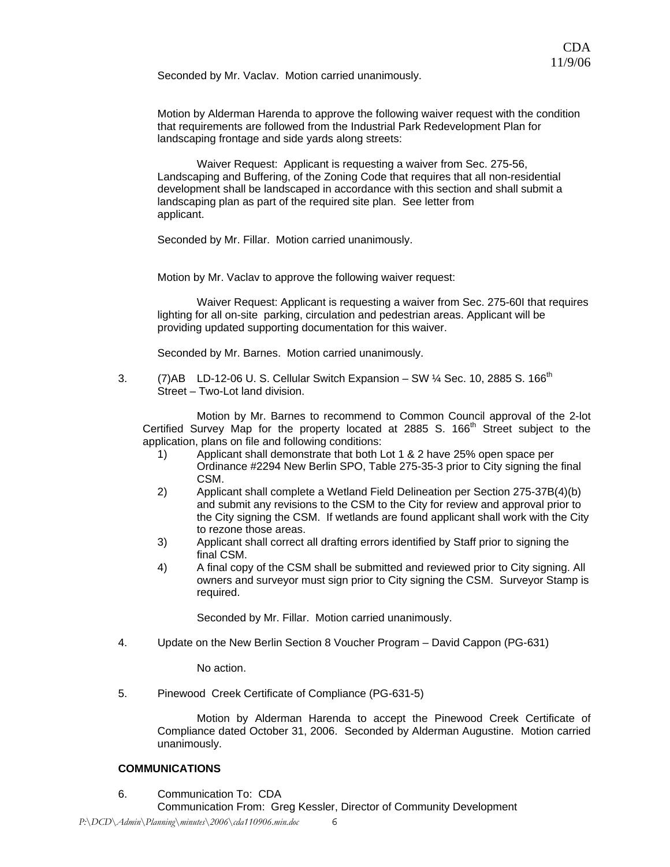Seconded by Mr. Vaclav. Motion carried unanimously.

 Motion by Alderman Harenda to approve the following waiver request with the condition that requirements are followed from the Industrial Park Redevelopment Plan for landscaping frontage and side yards along streets:

 Waiver Request: Applicant is requesting a waiver from Sec. 275-56, Landscaping and Buffering, of the Zoning Code that requires that all non-residential development shall be landscaped in accordance with this section and shall submit a landscaping plan as part of the required site plan. See letter from applicant.

Seconded by Mr. Fillar. Motion carried unanimously.

Motion by Mr. Vaclav to approve the following waiver request:

 Waiver Request: Applicant is requesting a waiver from Sec. 275-60I that requires lighting for all on-site parking, circulation and pedestrian areas. Applicant will be providing updated supporting documentation for this waiver.

Seconded by Mr. Barnes. Motion carried unanimously.

3. (7)AB LD-12-06 U. S. Cellular Switch Expansion – SW  $\frac{1}{4}$  Sec. 10, 2885 S. 166<sup>th</sup> Street – Two-Lot land division.

 Motion by Mr. Barnes to recommend to Common Council approval of the 2-lot Certified Survey Map for the property located at  $2885$  S.  $166<sup>th</sup>$  Street subject to the application, plans on file and following conditions:

- 1) Applicant shall demonstrate that both Lot 1 & 2 have 25% open space per Ordinance #2294 New Berlin SPO, Table 275-35-3 prior to City signing the final CSM.
- 2) Applicant shall complete a Wetland Field Delineation per Section 275-37B(4)(b) and submit any revisions to the CSM to the City for review and approval prior to the City signing the CSM. If wetlands are found applicant shall work with the City to rezone those areas.
- 3) Applicant shall correct all drafting errors identified by Staff prior to signing the final CSM.
- 4) A final copy of the CSM shall be submitted and reviewed prior to City signing. All owners and surveyor must sign prior to City signing the CSM. Surveyor Stamp is required.

Seconded by Mr. Fillar. Motion carried unanimously.

4. Update on the New Berlin Section 8 Voucher Program – David Cappon (PG-631)

No action.

5. Pinewood Creek Certificate of Compliance (PG-631-5)

 Motion by Alderman Harenda to accept the Pinewood Creek Certificate of Compliance dated October 31, 2006. Seconded by Alderman Augustine. Motion carried unanimously.

# **COMMUNICATIONS**

 6. Communication To: CDA Communication From: Greg Kessler, Director of Community Development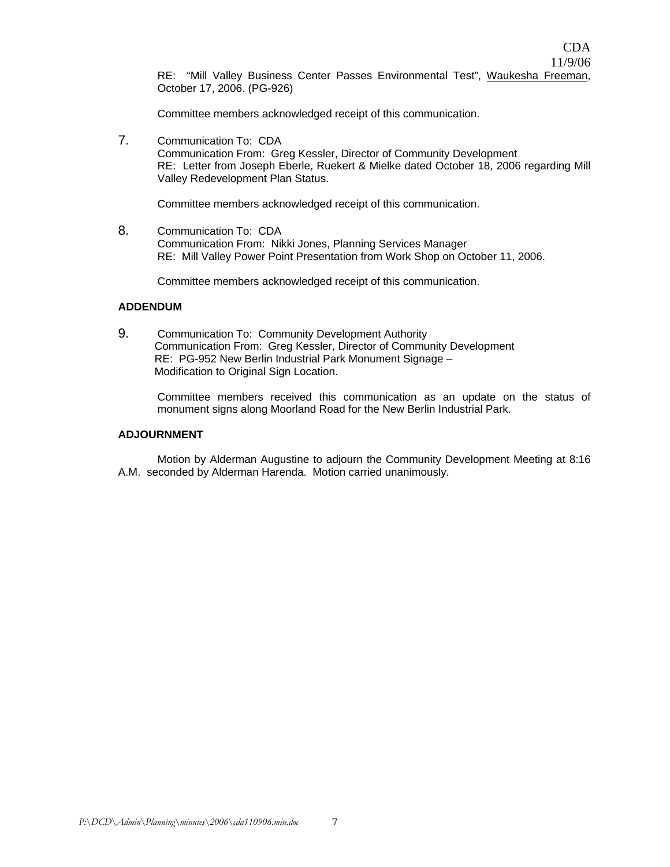CDA

Committee members acknowledged receipt of this communication.

7. Communication To: CDA Communication From: Greg Kessler, Director of Community Development RE: Letter from Joseph Eberle, Ruekert & Mielke dated October 18, 2006 regarding Mill Valley Redevelopment Plan Status.

Committee members acknowledged receipt of this communication.

8. Communication To: CDA Communication From: Nikki Jones, Planning Services Manager RE: Mill Valley Power Point Presentation from Work Shop on October 11, 2006.

Committee members acknowledged receipt of this communication.

# **ADDENDUM**

9. Communication To: Community Development Authority Communication From: Greg Kessler, Director of Community Development RE: PG-952 New Berlin Industrial Park Monument Signage – Modification to Original Sign Location.

Committee members received this communication as an update on the status of monument signs along Moorland Road for the New Berlin Industrial Park.

## **ADJOURNMENT**

Motion by Alderman Augustine to adjourn the Community Development Meeting at 8:16 A.M. seconded by Alderman Harenda. Motion carried unanimously.